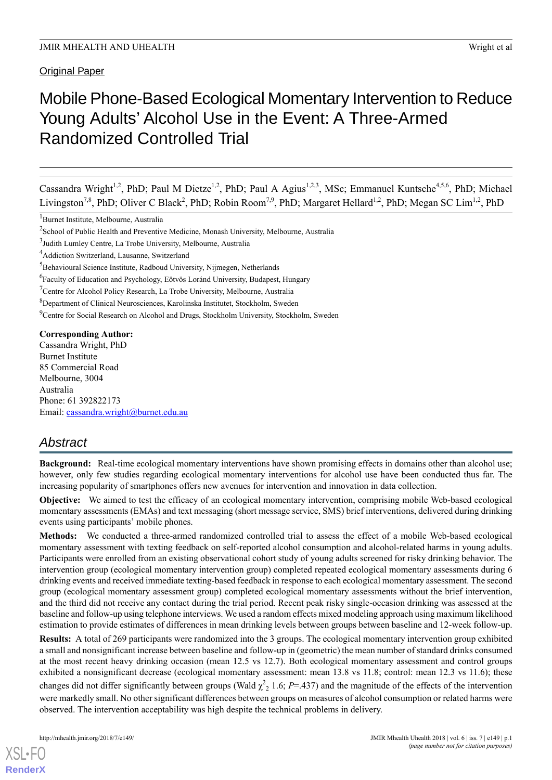Original Paper

# Mobile Phone-Based Ecological Momentary Intervention to Reduce Young Adults' Alcohol Use in the Event: A Three-Armed Randomized Controlled Trial

Cassandra Wright<sup>1,2</sup>, PhD; Paul M Dietze<sup>1,2</sup>, PhD; Paul A Agius<sup>1,2,3</sup>, MSc; Emmanuel Kuntsche<sup>4,5,6</sup>, PhD; Michael Livingston<sup>7,8</sup>, PhD; Oliver C Black<sup>2</sup>, PhD; Robin Room<sup>7,9</sup>, PhD; Margaret Hellard<sup>1,2</sup>, PhD; Megan SC Lim<sup>1,2</sup>, PhD

<sup>9</sup>Centre for Social Research on Alcohol and Drugs, Stockholm University, Stockholm, Sweden

**Corresponding Author:** Cassandra Wright, PhD Burnet Institute 85 Commercial Road Melbourne, 3004 Australia Phone: 61 392822173 Email: [cassandra.wright@burnet.edu.au](mailto:cassandra.wright@burnet.edu.au)

# *Abstract*

**Background:** Real-time ecological momentary interventions have shown promising effects in domains other than alcohol use; however, only few studies regarding ecological momentary interventions for alcohol use have been conducted thus far. The increasing popularity of smartphones offers new avenues for intervention and innovation in data collection.

**Objective:** We aimed to test the efficacy of an ecological momentary intervention, comprising mobile Web-based ecological momentary assessments (EMAs) and text messaging (short message service, SMS) brief interventions, delivered during drinking events using participants' mobile phones.

**Methods:** We conducted a three-armed randomized controlled trial to assess the effect of a mobile Web-based ecological momentary assessment with texting feedback on self-reported alcohol consumption and alcohol-related harms in young adults. Participants were enrolled from an existing observational cohort study of young adults screened for risky drinking behavior. The intervention group (ecological momentary intervention group) completed repeated ecological momentary assessments during 6 drinking events and received immediate texting-based feedback in response to each ecological momentary assessment. The second group (ecological momentary assessment group) completed ecological momentary assessments without the brief intervention, and the third did not receive any contact during the trial period. Recent peak risky single-occasion drinking was assessed at the baseline and follow-up using telephone interviews. We used a random effects mixed modeling approach using maximum likelihood estimation to provide estimates of differences in mean drinking levels between groups between baseline and 12-week follow-up.

**Results:** A total of 269 participants were randomized into the 3 groups. The ecological momentary intervention group exhibited a small and nonsignificant increase between baseline and follow-up in (geometric) the mean number of standard drinks consumed at the most recent heavy drinking occasion (mean 12.5 vs 12.7). Both ecological momentary assessment and control groups exhibited a nonsignificant decrease (ecological momentary assessment: mean 13.8 vs 11.8; control: mean 12.3 vs 11.6); these changes did not differ significantly between groups (Wald  $\chi^2$ <sub>2</sub> 1.6; *P*=.437) and the magnitude of the effects of the intervention were markedly small. No other significant differences between groups on measures of alcohol consumption or related harms were observed. The intervention acceptability was high despite the technical problems in delivery.

[XSL](http://www.w3.org/Style/XSL)•FO **[RenderX](http://www.renderx.com/)**

<sup>1</sup>Burnet Institute, Melbourne, Australia

<sup>&</sup>lt;sup>2</sup>School of Public Health and Preventive Medicine, Monash University, Melbourne, Australia

<sup>3</sup> Judith Lumley Centre, La Trobe University, Melbourne, Australia

<sup>4</sup>Addiction Switzerland, Lausanne, Switzerland

<sup>&</sup>lt;sup>5</sup>Behavioural Science Institute, Radboud University, Nijmegen, Netherlands

<sup>&</sup>lt;sup>6</sup> Faculty of Education and Psychology, Eötvös Loránd University, Budapest, Hungary

<sup>7</sup>Centre for Alcohol Policy Research, La Trobe University, Melbourne, Australia

<sup>8</sup>Department of Clinical Neurosciences, Karolinska Institutet, Stockholm, Sweden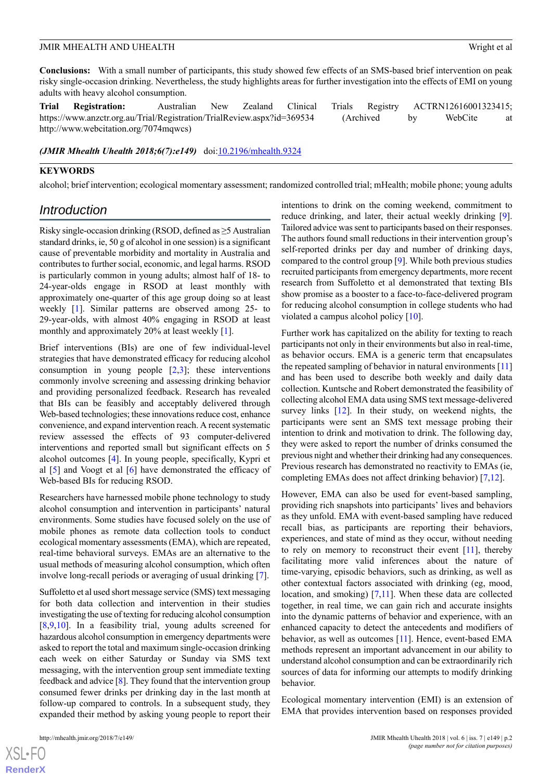**Conclusions:** With a small number of participants, this study showed few effects of an SMS-based brief intervention on peak risky single-occasion drinking. Nevertheless, the study highlights areas for further investigation into the effects of EMI on young adults with heavy alcohol consumption.

**Trial Registration:** Australian New Zealand Clinical Trials Registry ACTRN12616001323415; https://www.anzctr.org.au/Trial/Registration/TrialReview.aspx?id=369534 (Archived by WebCite at http://www.webcitation.org/7074mqwcs)

*(JMIR Mhealth Uhealth 2018;6(7):e149)* doi[:10.2196/mhealth.9324](http://dx.doi.org/10.2196/mhealth.9324)

### **KEYWORDS**

alcohol; brief intervention; ecological momentary assessment; randomized controlled trial; mHealth; mobile phone; young adults

# *Introduction*

Risky single-occasion drinking (RSOD, defined as ≥5 Australian standard drinks, ie, 50 g of alcohol in one session) is a significant cause of preventable morbidity and mortality in Australia and contributes to further social, economic, and legal harms. RSOD is particularly common in young adults; almost half of 18- to 24-year-olds engage in RSOD at least monthly with approximately one-quarter of this age group doing so at least weekly [[1\]](#page-11-0). Similar patterns are observed among 25- to 29-year-olds, with almost 40% engaging in RSOD at least monthly and approximately 20% at least weekly [[1](#page-11-0)].

Brief interventions (BIs) are one of few individual-level strategies that have demonstrated efficacy for reducing alcohol consumption in young people [[2](#page-11-1)[,3](#page-11-2)]; these interventions commonly involve screening and assessing drinking behavior and providing personalized feedback. Research has revealed that BIs can be feasibly and acceptably delivered through Web-based technologies; these innovations reduce cost, enhance convenience, and expand intervention reach. A recent systematic review assessed the effects of 93 computer-delivered interventions and reported small but significant effects on 5 alcohol outcomes [\[4](#page-11-3)]. In young people, specifically, Kypri et al [[5\]](#page-11-4) and Voogt et al [[6](#page-11-5)] have demonstrated the efficacy of Web-based BIs for reducing RSOD.

Researchers have harnessed mobile phone technology to study alcohol consumption and intervention in participants' natural environments. Some studies have focused solely on the use of mobile phones as remote data collection tools to conduct ecological momentary assessments (EMA), which are repeated, real-time behavioral surveys. EMAs are an alternative to the usual methods of measuring alcohol consumption, which often involve long-recall periods or averaging of usual drinking [[7](#page-11-6)].

Suffoletto et al used short message service (SMS) text messaging for both data collection and intervention in their studies investigating the use of texting for reducing alcohol consumption [[8](#page-11-7)[,9](#page-11-8),[10\]](#page-11-9). In a feasibility trial, young adults screened for hazardous alcohol consumption in emergency departments were asked to report the total and maximum single-occasion drinking each week on either Saturday or Sunday via SMS text messaging, with the intervention group sent immediate texting feedback and advice [[8\]](#page-11-7). They found that the intervention group consumed fewer drinks per drinking day in the last month at follow-up compared to controls. In a subsequent study, they expanded their method by asking young people to report their

intentions to drink on the coming weekend, commitment to reduce drinking, and later, their actual weekly drinking [[9\]](#page-11-8). Tailored advice was sent to participants based on their responses. The authors found small reductions in their intervention group's self-reported drinks per day and number of drinking days, compared to the control group [[9\]](#page-11-8). While both previous studies recruited participants from emergency departments, more recent research from Suffoletto et al demonstrated that texting BIs show promise as a booster to a face-to-face-delivered program for reducing alcohol consumption in college students who had violated a campus alcohol policy [[10\]](#page-11-9).

Further work has capitalized on the ability for texting to reach participants not only in their environments but also in real-time, as behavior occurs. EMA is a generic term that encapsulates the repeated sampling of behavior in natural environments  $[11]$  $[11]$  $[11]$ and has been used to describe both weekly and daily data collection. Kuntsche and Robert demonstrated the feasibility of collecting alcohol EMA data using SMS text message-delivered survey links [[12\]](#page-11-11). In their study, on weekend nights, the participants were sent an SMS text message probing their intention to drink and motivation to drink. The following day, they were asked to report the number of drinks consumed the previous night and whether their drinking had any consequences. Previous research has demonstrated no reactivity to EMAs (ie, completing EMAs does not affect drinking behavior) [\[7](#page-11-6),[12\]](#page-11-11).

However, EMA can also be used for event-based sampling, providing rich snapshots into participants' lives and behaviors as they unfold. EMA with event-based sampling have reduced recall bias, as participants are reporting their behaviors, experiences, and state of mind as they occur, without needing to rely on memory to reconstruct their event [[11](#page-11-10)], thereby facilitating more valid inferences about the nature of time-varying, episodic behaviors, such as drinking, as well as other contextual factors associated with drinking (eg, mood, location, and smoking) [[7](#page-11-6)[,11\]](#page-11-10). When these data are collected together, in real time, we can gain rich and accurate insights into the dynamic patterns of behavior and experience, with an enhanced capacity to detect the antecedents and modifiers of behavior, as well as outcomes [[11](#page-11-10)]. Hence, event-based EMA methods represent an important advancement in our ability to understand alcohol consumption and can be extraordinarily rich sources of data for informing our attempts to modify drinking behavior.

Ecological momentary intervention (EMI) is an extension of EMA that provides intervention based on responses provided

 $XS$  $\cdot$ FC **[RenderX](http://www.renderx.com/)**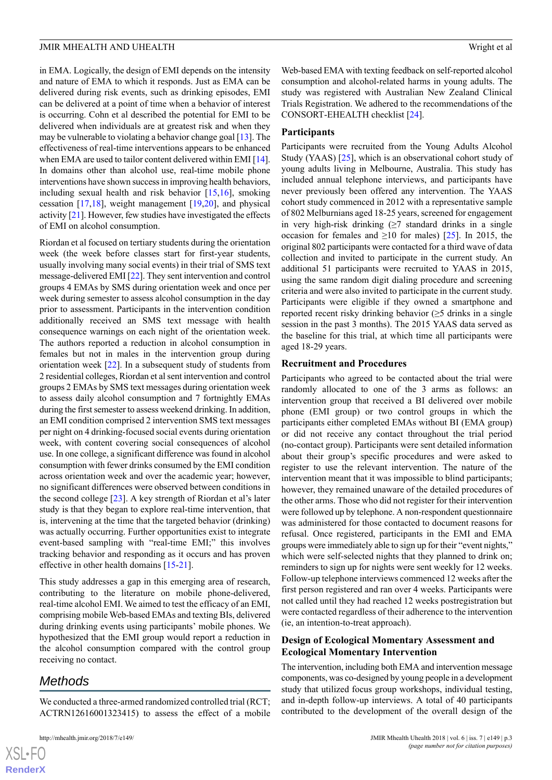in EMA. Logically, the design of EMI depends on the intensity and nature of EMA to which it responds. Just as EMA can be delivered during risk events, such as drinking episodes, EMI can be delivered at a point of time when a behavior of interest is occurring. Cohn et al described the potential for EMI to be delivered when individuals are at greatest risk and when they may be vulnerable to violating a behavior change goal [[13](#page-11-12)]. The effectiveness of real-time interventions appears to be enhanced when EMA are used to tailor content delivered within EMI [\[14\]](#page-11-13). In domains other than alcohol use, real-time mobile phone interventions have shown success in improving health behaviors, including sexual health and risk behavior [\[15](#page-11-14),[16\]](#page-11-15), smoking cessation [\[17](#page-11-16),[18\]](#page-11-17), weight management [[19](#page-12-0)[,20](#page-12-1)], and physical activity [\[21](#page-12-2)]. However, few studies have investigated the effects of EMI on alcohol consumption.

Riordan et al focused on tertiary students during the orientation week (the week before classes start for first-year students, usually involving many social events) in their trial of SMS text message-delivered EMI [[22\]](#page-12-3). They sent intervention and control groups 4 EMAs by SMS during orientation week and once per week during semester to assess alcohol consumption in the day prior to assessment. Participants in the intervention condition additionally received an SMS text message with health consequence warnings on each night of the orientation week. The authors reported a reduction in alcohol consumption in females but not in males in the intervention group during orientation week [\[22](#page-12-3)]. In a subsequent study of students from 2 residential colleges, Riordan et al sent intervention and control groups 2 EMAs by SMS text messages during orientation week to assess daily alcohol consumption and 7 fortnightly EMAs during the first semester to assess weekend drinking. In addition, an EMI condition comprised 2 intervention SMS text messages per night on 4 drinking-focused social events during orientation week, with content covering social consequences of alcohol use. In one college, a significant difference was found in alcohol consumption with fewer drinks consumed by the EMI condition across orientation week and over the academic year; however, no significant differences were observed between conditions in the second college [\[23](#page-12-4)]. A key strength of Riordan et al's later study is that they began to explore real-time intervention, that is, intervening at the time that the targeted behavior (drinking) was actually occurring. Further opportunities exist to integrate event-based sampling with "real-time EMI;" this involves tracking behavior and responding as it occurs and has proven effective in other health domains [[15-](#page-11-14)[21\]](#page-12-2).

This study addresses a gap in this emerging area of research, contributing to the literature on mobile phone-delivered, real-time alcohol EMI. We aimed to test the efficacy of an EMI, comprising mobile Web-based EMAs and texting BIs, delivered during drinking events using participants' mobile phones. We hypothesized that the EMI group would report a reduction in the alcohol consumption compared with the control group receiving no contact.

# *Methods*

We conducted a three-armed randomized controlled trial (RCT; ACTRN12616001323415) to assess the effect of a mobile

Web-based EMA with texting feedback on self-reported alcohol consumption and alcohol-related harms in young adults. The study was registered with Australian New Zealand Clinical Trials Registration. We adhered to the recommendations of the CONSORT-EHEALTH checklist [[24\]](#page-12-5).

### **Participants**

Participants were recruited from the Young Adults Alcohol Study (YAAS) [\[25](#page-12-6)], which is an observational cohort study of young adults living in Melbourne, Australia. This study has included annual telephone interviews, and participants have never previously been offered any intervention. The YAAS cohort study commenced in 2012 with a representative sample of 802 Melburnians aged 18-25 years, screened for engagement in very high-risk drinking  $(≥7$  standard drinks in a single occasion for females and  $\geq 10$  for males) [[25\]](#page-12-6). In 2015, the original 802 participants were contacted for a third wave of data collection and invited to participate in the current study. An additional 51 participants were recruited to YAAS in 2015, using the same random digit dialing procedure and screening criteria and were also invited to participate in the current study. Participants were eligible if they owned a smartphone and reported recent risky drinking behavior  $(\geq 5)$  drinks in a single session in the past 3 months). The 2015 YAAS data served as the baseline for this trial, at which time all participants were aged 18-29 years.

### **Recruitment and Procedures**

Participants who agreed to be contacted about the trial were randomly allocated to one of the 3 arms as follows: an intervention group that received a BI delivered over mobile phone (EMI group) or two control groups in which the participants either completed EMAs without BI (EMA group) or did not receive any contact throughout the trial period (no-contact group). Participants were sent detailed information about their group's specific procedures and were asked to register to use the relevant intervention. The nature of the intervention meant that it was impossible to blind participants; however, they remained unaware of the detailed procedures of the other arms. Those who did not register for their intervention were followed up by telephone. A non-respondent questionnaire was administered for those contacted to document reasons for refusal. Once registered, participants in the EMI and EMA groups were immediately able to sign up for their "event nights," which were self-selected nights that they planned to drink on; reminders to sign up for nights were sent weekly for 12 weeks. Follow-up telephone interviews commenced 12 weeks after the first person registered and ran over 4 weeks. Participants were not called until they had reached 12 weeks postregistration but were contacted regardless of their adherence to the intervention (ie, an intention-to-treat approach).

# **Design of Ecological Momentary Assessment and Ecological Momentary Intervention**

The intervention, including both EMA and intervention message components, was co-designed by young people in a development study that utilized focus group workshops, individual testing, and in-depth follow-up interviews. A total of 40 participants contributed to the development of the overall design of the

```
XS-FO
RenderX
```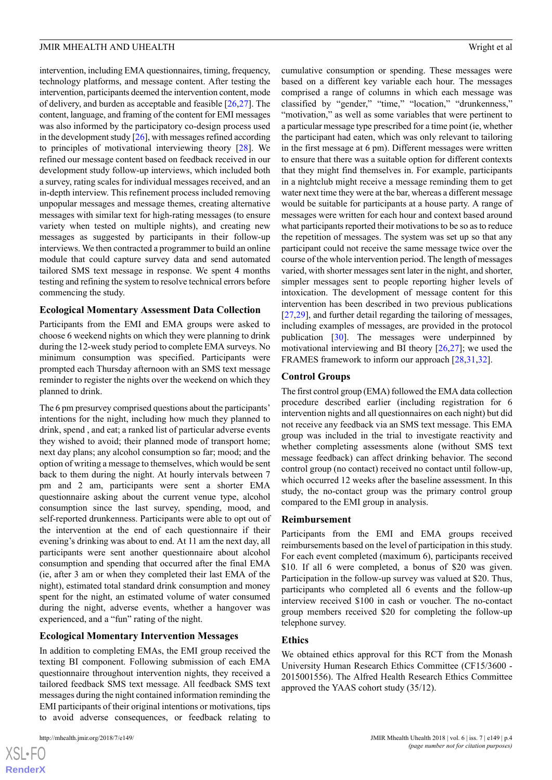intervention, including EMA questionnaires, timing, frequency, technology platforms, and message content. After testing the intervention, participants deemed the intervention content, mode of delivery, and burden as acceptable and feasible [[26,](#page-12-7)[27\]](#page-12-8). The content, language, and framing of the content for EMI messages was also informed by the participatory co-design process used in the development study  $[26]$ , with messages refined according to principles of motivational interviewing theory [[28\]](#page-12-9). We refined our message content based on feedback received in our development study follow-up interviews, which included both a survey, rating scales for individual messages received, and an in-depth interview. This refinement process included removing unpopular messages and message themes, creating alternative messages with similar text for high-rating messages (to ensure variety when tested on multiple nights), and creating new messages as suggested by participants in their follow-up interviews. We then contracted a programmer to build an online module that could capture survey data and send automated tailored SMS text message in response. We spent 4 months testing and refining the system to resolve technical errors before commencing the study.

### **Ecological Momentary Assessment Data Collection**

Participants from the EMI and EMA groups were asked to choose 6 weekend nights on which they were planning to drink during the 12-week study period to complete EMA surveys. No minimum consumption was specified. Participants were prompted each Thursday afternoon with an SMS text message reminder to register the nights over the weekend on which they planned to drink.

The 6 pm presurvey comprised questions about the participants' intentions for the night, including how much they planned to drink, spend , and eat; a ranked list of particular adverse events they wished to avoid; their planned mode of transport home; next day plans; any alcohol consumption so far; mood; and the option of writing a message to themselves, which would be sent back to them during the night. At hourly intervals between 7 pm and 2 am, participants were sent a shorter EMA questionnaire asking about the current venue type, alcohol consumption since the last survey, spending, mood, and self-reported drunkenness. Participants were able to opt out of the intervention at the end of each questionnaire if their evening's drinking was about to end. At 11 am the next day, all participants were sent another questionnaire about alcohol consumption and spending that occurred after the final EMA (ie, after 3 am or when they completed their last EMA of the night), estimated total standard drink consumption and money spent for the night, an estimated volume of water consumed during the night, adverse events, whether a hangover was experienced, and a "fun" rating of the night.

### **Ecological Momentary Intervention Messages**

In addition to completing EMAs, the EMI group received the texting BI component. Following submission of each EMA questionnaire throughout intervention nights, they received a tailored feedback SMS text message. All feedback SMS text messages during the night contained information reminding the EMI participants of their original intentions or motivations, tips to avoid adverse consequences, or feedback relating to

 $XS$ -FO **[RenderX](http://www.renderx.com/)** cumulative consumption or spending. These messages were based on a different key variable each hour. The messages comprised a range of columns in which each message was classified by "gender," "time," "location," "drunkenness," "motivation," as well as some variables that were pertinent to a particular message type prescribed for a time point (ie, whether the participant had eaten, which was only relevant to tailoring in the first message at 6 pm). Different messages were written to ensure that there was a suitable option for different contexts that they might find themselves in. For example, participants in a nightclub might receive a message reminding them to get water next time they were at the bar, whereas a different message would be suitable for participants at a house party. A range of messages were written for each hour and context based around what participants reported their motivations to be so as to reduce the repetition of messages. The system was set up so that any participant could not receive the same message twice over the course of the whole intervention period. The length of messages varied, with shorter messages sent later in the night, and shorter, simpler messages sent to people reporting higher levels of intoxication. The development of message content for this intervention has been described in two previous publications [[27,](#page-12-8)[29\]](#page-12-10), and further detail regarding the tailoring of messages, including examples of messages, are provided in the protocol publication  $\lceil 30 \rceil$ . The messages were underpinned by motivational interviewing and BI theory [[26](#page-12-7)[,27](#page-12-8)]; we used the FRAMES framework to inform our approach [[28,](#page-12-9)[31](#page-12-12),[32\]](#page-12-13).

### **Control Groups**

The first control group (EMA) followed the EMA data collection procedure described earlier (including registration for 6 intervention nights and all questionnaires on each night) but did not receive any feedback via an SMS text message. This EMA group was included in the trial to investigate reactivity and whether completing assessments alone (without SMS text message feedback) can affect drinking behavior. The second control group (no contact) received no contact until follow-up, which occurred 12 weeks after the baseline assessment. In this study, the no-contact group was the primary control group compared to the EMI group in analysis.

### **Reimbursement**

Participants from the EMI and EMA groups received reimbursements based on the level of participation in this study. For each event completed (maximum 6), participants received \$10. If all 6 were completed, a bonus of \$20 was given. Participation in the follow-up survey was valued at \$20. Thus, participants who completed all 6 events and the follow-up interview received \$100 in cash or voucher. The no-contact group members received \$20 for completing the follow-up telephone survey.

### **Ethics**

We obtained ethics approval for this RCT from the Monash University Human Research Ethics Committee (CF15/3600 - 2015001556). The Alfred Health Research Ethics Committee approved the YAAS cohort study (35/12).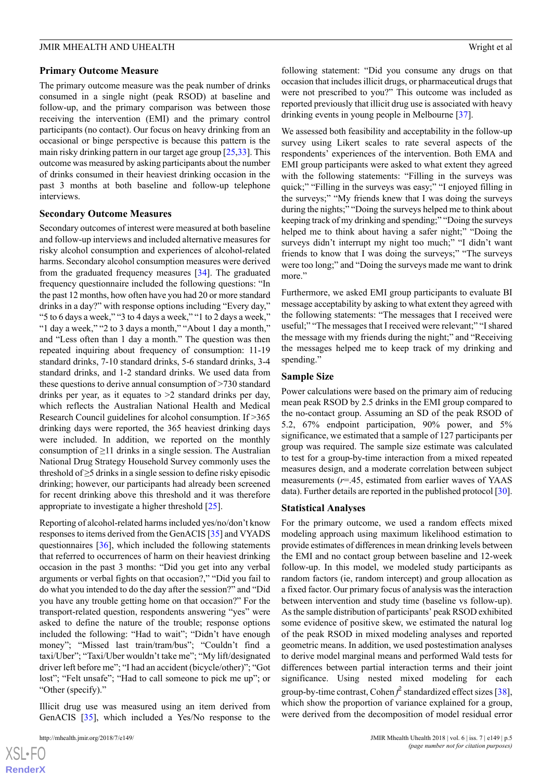### **Primary Outcome Measure**

The primary outcome measure was the peak number of drinks consumed in a single night (peak RSOD) at baseline and follow-up, and the primary comparison was between those receiving the intervention (EMI) and the primary control participants (no contact). Our focus on heavy drinking from an occasional or binge perspective is because this pattern is the main risky drinking pattern in our target age group [\[25](#page-12-6)[,33](#page-12-14)]. This outcome was measured by asking participants about the number of drinks consumed in their heaviest drinking occasion in the past 3 months at both baseline and follow-up telephone interviews.

### **Secondary Outcome Measures**

Secondary outcomes of interest were measured at both baseline and follow-up interviews and included alternative measures for risky alcohol consumption and experiences of alcohol-related harms. Secondary alcohol consumption measures were derived from the graduated frequency measures [\[34](#page-12-15)]. The graduated frequency questionnaire included the following questions: "In the past 12 months, how often have you had 20 or more standard drinks in a day?" with response options including "Every day," "5 to 6 days a week," "3 to 4 days a week," "1 to 2 days a week," "1 day a week," "2 to 3 days a month," "About 1 day a month," and "Less often than 1 day a month." The question was then repeated inquiring about frequency of consumption: 11-19 standard drinks, 7-10 standard drinks, 5-6 standard drinks, 3-4 standard drinks, and 1-2 standard drinks. We used data from these questions to derive annual consumption of >730 standard drinks per year, as it equates to  $\geq 2$  standard drinks per day, which reflects the Australian National Health and Medical Research Council guidelines for alcohol consumption. If >365 drinking days were reported, the 365 heaviest drinking days were included. In addition, we reported on the monthly consumption of ≥11 drinks in a single session. The Australian National Drug Strategy Household Survey commonly uses the threshold of  $\geq$ 5 drinks in a single session to define risky episodic drinking; however, our participants had already been screened for recent drinking above this threshold and it was therefore appropriate to investigate a higher threshold [\[25](#page-12-6)].

Reporting of alcohol-related harms included yes/no/don't know responses to items derived from the GenACIS [\[35](#page-12-16)] and VYADS questionnaires [[36\]](#page-12-17), which included the following statements that referred to occurrences of harm on their heaviest drinking occasion in the past 3 months: "Did you get into any verbal arguments or verbal fights on that occasion?," "Did you fail to do what you intended to do the day after the session?" and "Did you have any trouble getting home on that occasion?" For the transport-related question, respondents answering "yes" were asked to define the nature of the trouble; response options included the following: "Had to wait"; "Didn't have enough money"; "Missed last train/tram/bus"; "Couldn't find a taxi/Uber"; "Taxi/Uber wouldn't take me"; "My lift/designated driver left before me"; "I had an accident (bicycle/other)"; "Got lost"; "Felt unsafe"; "Had to call someone to pick me up"; or "Other (specify)."

Illicit drug use was measured using an item derived from GenACIS [[35\]](#page-12-16), which included a Yes/No response to the

 $XS$  $\cdot$ FC **[RenderX](http://www.renderx.com/)** following statement: "Did you consume any drugs on that occasion that includes illicit drugs, or pharmaceutical drugs that were not prescribed to you?" This outcome was included as reported previously that illicit drug use is associated with heavy drinking events in young people in Melbourne [[37\]](#page-12-18).

We assessed both feasibility and acceptability in the follow-up survey using Likert scales to rate several aspects of the respondents' experiences of the intervention. Both EMA and EMI group participants were asked to what extent they agreed with the following statements: "Filling in the surveys was quick;" "Filling in the surveys was easy;" "I enjoyed filling in the surveys;" "My friends knew that I was doing the surveys during the nights;" "Doing the surveys helped me to think about keeping track of my drinking and spending;" "Doing the surveys helped me to think about having a safer night;" "Doing the surveys didn't interrupt my night too much;" "I didn't want friends to know that I was doing the surveys;" "The surveys were too long;" and "Doing the surveys made me want to drink more."

Furthermore, we asked EMI group participants to evaluate BI message acceptability by asking to what extent they agreed with the following statements: "The messages that I received were useful;" "The messages that I received were relevant;" "I shared the message with my friends during the night;" and "Receiving the messages helped me to keep track of my drinking and spending."

### **Sample Size**

Power calculations were based on the primary aim of reducing mean peak RSOD by 2.5 drinks in the EMI group compared to the no-contact group. Assuming an SD of the peak RSOD of 5.2, 67% endpoint participation, 90% power, and 5% significance, we estimated that a sample of 127 participants per group was required. The sample size estimate was calculated to test for a group-by-time interaction from a mixed repeated measures design, and a moderate correlation between subject measurements (*r*=.45, estimated from earlier waves of YAAS data). Further details are reported in the published protocol [\[30](#page-12-11)].

### **Statistical Analyses**

For the primary outcome, we used a random effects mixed modeling approach using maximum likelihood estimation to provide estimates of differences in mean drinking levels between the EMI and no contact group between baseline and 12-week follow-up. In this model, we modeled study participants as random factors (ie, random intercept) and group allocation as a fixed factor. Our primary focus of analysis was the interaction between intervention and study time (baseline vs follow-up). As the sample distribution of participants' peak RSOD exhibited some evidence of positive skew, we estimated the natural log of the peak RSOD in mixed modeling analyses and reported geometric means. In addition, we used postestimation analyses to derive model marginal means and performed Wald tests for differences between partial interaction terms and their joint significance. Using nested mixed modeling for each group-by-time contrast, Cohen *f* 2 standardized effect sizes [[38\]](#page-12-19), which show the proportion of variance explained for a group, were derived from the decomposition of model residual error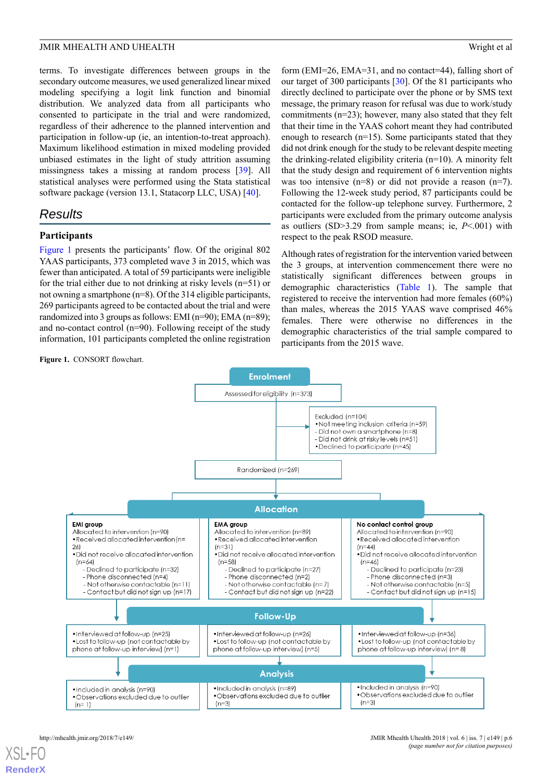terms. To investigate differences between groups in the secondary outcome measures, we used generalized linear mixed modeling specifying a logit link function and binomial distribution. We analyzed data from all participants who consented to participate in the trial and were randomized, regardless of their adherence to the planned intervention and participation in follow-up (ie, an intention-to-treat approach). Maximum likelihood estimation in mixed modeling provided unbiased estimates in the light of study attrition assuming missingness takes a missing at random process [\[39](#page-12-20)]. All statistical analyses were performed using the Stata statistical software package (version 13.1, Statacorp LLC, USA) [[40\]](#page-12-21).

# *Results*

### **Participants**

[Figure 1](#page-5-0) presents the participants' flow. Of the original 802 YAAS participants, 373 completed wave 3 in 2015, which was fewer than anticipated. A total of 59 participants were ineligible for the trial either due to not drinking at risky levels (n=51) or not owning a smartphone (n=8). Of the 314 eligible participants, 269 participants agreed to be contacted about the trial and were randomized into 3 groups as follows: EMI (n=90); EMA (n=89); and no-contact control (n=90). Following receipt of the study information, 101 participants completed the online registration

<span id="page-5-0"></span>**Figure 1.** CONSORT flowchart.

form (EMI=26, EMA=31, and no contact=44), falling short of our target of 300 participants [[30\]](#page-12-11). Of the 81 participants who directly declined to participate over the phone or by SMS text message, the primary reason for refusal was due to work/study commitments (n=23); however, many also stated that they felt that their time in the YAAS cohort meant they had contributed enough to research (n=15). Some participants stated that they did not drink enough for the study to be relevant despite meeting the drinking-related eligibility criteria (n=10). A minority felt that the study design and requirement of 6 intervention nights was too intensive (n=8) or did not provide a reason (n=7). Following the 12-week study period, 87 participants could be contacted for the follow-up telephone survey. Furthermore, 2 participants were excluded from the primary outcome analysis as outliers (SD>3.29 from sample means; ie, *P*<.001) with respect to the peak RSOD measure.

Although rates of registration for the intervention varied between the 3 groups, at intervention commencement there were no statistically significant differences between groups in demographic characteristics [\(Table 1\)](#page-6-0). The sample that registered to receive the intervention had more females (60%) than males, whereas the 2015 YAAS wave comprised 46% females. There were otherwise no differences in the demographic characteristics of the trial sample compared to participants from the 2015 wave.



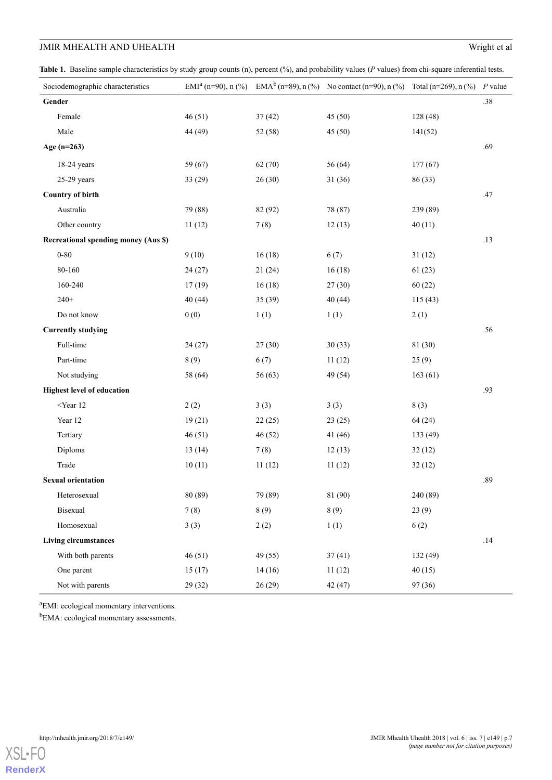<span id="page-6-0"></span>Table 1. Baseline sample characteristics by study group counts (n), percent (%), and probability values (*P* values) from chi-square inferential tests.

| Sociodemographic characteristics            | EMI <sup>a</sup> (n=90), n $(\frac{6}{6})$ |         | EMA <sup>b</sup> (n=89), n (%) No contact (n=90), n (%) Total (n=269), n (%) P value |          |         |
|---------------------------------------------|--------------------------------------------|---------|--------------------------------------------------------------------------------------|----------|---------|
| Gender                                      |                                            |         |                                                                                      |          | $.38\,$ |
| Female                                      | 46(51)                                     | 37(42)  | 45 (50)                                                                              | 128 (48) |         |
| Male                                        | 44 (49)                                    | 52 (58) | 45(50)                                                                               | 141(52)  |         |
| Age $(n=263)$                               |                                            |         |                                                                                      |          | .69     |
| $18-24$ years                               | 59 (67)                                    | 62 (70) | 56 (64)                                                                              | 177(67)  |         |
| $25-29$ years                               | 33(29)                                     | 26(30)  | 31(36)                                                                               | 86 (33)  |         |
| <b>Country of birth</b>                     |                                            |         |                                                                                      |          | .47     |
| Australia                                   | 79 (88)                                    | 82 (92) | 78 (87)                                                                              | 239 (89) |         |
| Other country                               | 11(12)                                     | 7(8)    | 12(13)                                                                               | 40(11)   |         |
| <b>Recreational spending money (Aus \$)</b> |                                            |         |                                                                                      |          | .13     |
| $0 - 80$                                    | 9(10)                                      | 16(18)  | 6(7)                                                                                 | 31(12)   |         |
| 80-160                                      | 24(27)                                     | 21(24)  | 16(18)                                                                               | 61(23)   |         |
| 160-240                                     | 17(19)                                     | 16(18)  | 27(30)                                                                               | 60(22)   |         |
| $240+$                                      | 40 (44)                                    | 35(39)  | 40(44)                                                                               | 115(43)  |         |
| Do not know                                 | 0(0)                                       | 1(1)    | 1(1)                                                                                 | 2(1)     |         |
| <b>Currently studying</b>                   |                                            |         |                                                                                      |          | .56     |
| Full-time                                   | 24(27)                                     | 27(30)  | 30(33)                                                                               | 81 (30)  |         |
| Part-time                                   | 8(9)                                       | 6(7)    | 11(12)                                                                               | 25(9)    |         |
| Not studying                                | 58 (64)                                    | 56 (63) | 49 (54)                                                                              | 163(61)  |         |
| <b>Highest level of education</b>           |                                            |         |                                                                                      |          | .93     |
| $<$ Year 12                                 | 2(2)                                       | 3(3)    | 3(3)                                                                                 | 8(3)     |         |
| Year 12                                     | 19(21)                                     | 22(25)  | 23(25)                                                                               | 64 (24)  |         |
| Tertiary                                    | 46(51)                                     | 46(52)  | 41 (46)                                                                              | 133 (49) |         |
| Diploma                                     | 13(14)                                     | 7(8)    | 12(13)                                                                               | 32(12)   |         |
| Trade                                       | 10(11)                                     | 11(12)  | 11(12)                                                                               | 32(12)   |         |
| <b>Sexual orientation</b>                   |                                            |         |                                                                                      |          | .89     |
| Heterosexual                                | 80 (89)                                    | 79 (89) | 81 (90)                                                                              | 240 (89) |         |
| Bisexual                                    | 7(8)                                       | 8(9)    | 8(9)                                                                                 | 23(9)    |         |
| Homosexual                                  | 3(3)                                       | 2(2)    | 1(1)                                                                                 | 6(2)     |         |
| <b>Living circumstances</b>                 |                                            |         |                                                                                      |          | .14     |
| With both parents                           | 46(51)                                     | 49 (55) | 37(41)                                                                               | 132 (49) |         |
| One parent                                  | 15(17)                                     | 14(16)  | 11(12)                                                                               | 40(15)   |         |
| Not with parents                            | 29(32)                                     | 26(29)  | 42 (47)                                                                              | 97 (36)  |         |

<sup>a</sup>EMI: ecological momentary interventions.

b<sub>EMA:</sub> ecological momentary assessments.

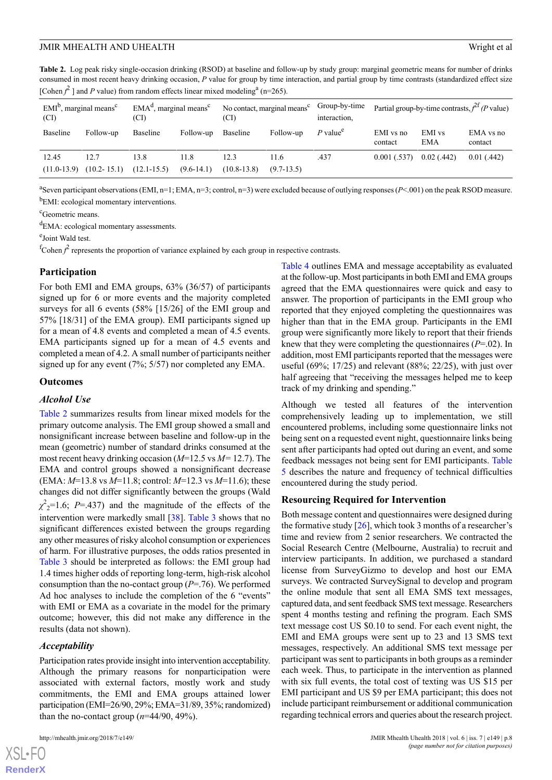<span id="page-7-0"></span>**Table 2.** Log peak risky single-occasion drinking (RSOD) at baseline and follow-up by study group: marginal geometric means for number of drinks consumed in most recent heavy drinking occasion, *P* value for group by time interaction, and partial group by time contrasts (standardized effect size [Cohen  $f^2$ ] and *P* value) from random effects linear mixed modeling<sup>a</sup> (n=265).

| $EMIb$ , marginal means <sup>c</sup><br>(CI) |                         | $EMAd$ , marginal means <sup>c</sup><br>(CI) |                      | No contact, marginal means <sup>c</sup><br>(CI) |                      | Group-by-time<br>interaction.     | Partial group-by-time contrasts, $f^{2f}(P$ value) |               |                      |
|----------------------------------------------|-------------------------|----------------------------------------------|----------------------|-------------------------------------------------|----------------------|-----------------------------------|----------------------------------------------------|---------------|----------------------|
| Baseline                                     | Follow-up               | Baseline                                     | Follow-up            | Baseline                                        | Follow-up            | P value <sup><math>e</math></sup> | EMI vs no<br>contact                               | EMI vs<br>EMA | EMA vs no<br>contact |
| 12.45<br>$(11.0-13.9)$                       | 12.7<br>$(10.2 - 15.1)$ | 13.8<br>$(12.1 - 15.5)$                      | 11.8<br>$(9.6-14.1)$ | 12.3<br>$(10.8 - 13.8)$                         | 11.6<br>$(9.7-13.5)$ | .437                              | 0.001(.537)                                        | 0.02(0.442)   | 0.01(0.442)          |

<sup>a</sup>Seven participant observations (EMI, n=1; EMA, n=3; control, n=3) were excluded because of outlying responses (*P*<.001) on the peak RSOD measure. <sup>b</sup>EMI: ecological momentary interventions.

<sup>c</sup>Geometric means.

<sup>d</sup>EMA: ecological momentary assessments.

e Joint Wald test.

<sup>f</sup>Cohen  $f^2$  represents the proportion of variance explained by each group in respective contrasts.

### **Participation**

For both EMI and EMA groups, 63% (36/57) of participants signed up for 6 or more events and the majority completed surveys for all 6 events (58% [15/26] of the EMI group and 57% [18/31] of the EMA group). EMI participants signed up for a mean of 4.8 events and completed a mean of 4.5 events. EMA participants signed up for a mean of 4.5 events and completed a mean of 4.2. A small number of participants neither signed up for any event (7%; 5/57) nor completed any EMA.

### **Outcomes**

### *Alcohol Use*

[Table 2](#page-7-0) summarizes results from linear mixed models for the primary outcome analysis. The EMI group showed a small and nonsignificant increase between baseline and follow-up in the mean (geometric) number of standard drinks consumed at the most recent heavy drinking occasion (*M*=12.5 vs *M=* 12.7). The EMA and control groups showed a nonsignificant decrease (EMA: *M*=13.8 vs *M*=11.8; control: *M*=12.3 vs *M*=11.6); these changes did not differ significantly between the groups (Wald  $\chi^2$ <sub>2</sub>=1.6; *P*=.437) and the magnitude of the effects of the intervention were markedly small [\[38](#page-12-19)]. [Table 3](#page-8-0) shows that no significant differences existed between the groups regarding any other measures of risky alcohol consumption or experiences of harm. For illustrative purposes, the odds ratios presented in [Table 3](#page-8-0) should be interpreted as follows: the EMI group had 1.4 times higher odds of reporting long-term, high-risk alcohol consumption than the no-contact group (*P*=.76). We performed Ad hoc analyses to include the completion of the 6 "events" with EMI or EMA as a covariate in the model for the primary outcome; however, this did not make any difference in the results (data not shown).

### *Acceptability*

 $XS$  • F( **[RenderX](http://www.renderx.com/)**

Participation rates provide insight into intervention acceptability. Although the primary reasons for nonparticipation were associated with external factors, mostly work and study commitments, the EMI and EMA groups attained lower participation (EMI=26/90, 29%; EMA=31/89, 35%; randomized) than the no-contact group  $(n=44/90, 49\%)$ .

[Table 4](#page-9-0) outlines EMA and message acceptability as evaluated at the follow-up. Most participants in both EMI and EMA groups agreed that the EMA questionnaires were quick and easy to answer. The proportion of participants in the EMI group who reported that they enjoyed completing the questionnaires was higher than that in the EMA group. Participants in the EMI group were significantly more likely to report that their friends knew that they were completing the questionnaires (*P*=.02). In addition, most EMI participants reported that the messages were useful (69%; 17/25) and relevant (88%; 22/25), with just over half agreeing that "receiving the messages helped me to keep track of my drinking and spending."

Although we tested all features of the intervention comprehensively leading up to implementation, we still encountered problems, including some questionnaire links not being sent on a requested event night, questionnaire links being sent after participants had opted out during an event, and some feedback messages not being sent for EMI participants. [Table](#page-9-1) [5](#page-9-1) describes the nature and frequency of technical difficulties encountered during the study period.

### **Resourcing Required for Intervention**

Both message content and questionnaires were designed during the formative study  $[26]$  $[26]$ , which took 3 months of a researcher's time and review from 2 senior researchers. We contracted the Social Research Centre (Melbourne, Australia) to recruit and interview participants. In addition, we purchased a standard license from SurveyGizmo to develop and host our EMA surveys. We contracted SurveySignal to develop and program the online module that sent all EMA SMS text messages, captured data, and sent feedback SMS text message. Researchers spent 4 months testing and refining the program. Each SMS text message cost US \$0.10 to send. For each event night, the EMI and EMA groups were sent up to 23 and 13 SMS text messages, respectively. An additional SMS text message per participant was sent to participants in both groups as a reminder each week. Thus, to participate in the intervention as planned with six full events, the total cost of texting was US \$15 per EMI participant and US \$9 per EMA participant; this does not include participant reimbursement or additional communication regarding technical errors and queries about the research project.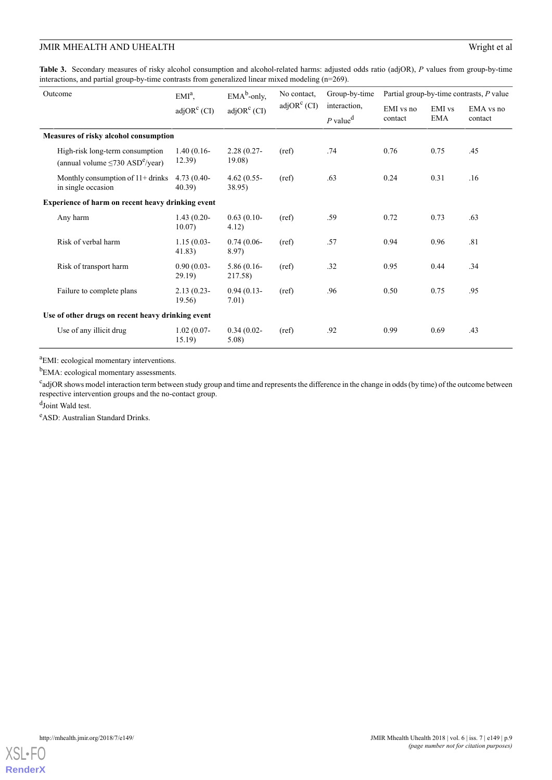<span id="page-8-0"></span>**Table 3.** Secondary measures of risky alcohol consumption and alcohol-related harms: adjusted odds ratio (adjOR), *P* values from group-by-time interactions, and partial group-by-time contrasts from generalized linear mixed modeling (n=269).

| Outcome                                           |                                                                                      | $EMIa$ ,<br>$adjORc$ (CI) | $EMAb$ -only,<br>$adjORc$ (CI) | No contact.<br>$adjORc$ (CI) | Group-by-time<br>interaction,<br>$P$ value <sup>d</sup> | Partial group-by-time contrasts, P value |                      |                      |
|---------------------------------------------------|--------------------------------------------------------------------------------------|---------------------------|--------------------------------|------------------------------|---------------------------------------------------------|------------------------------------------|----------------------|----------------------|
|                                                   |                                                                                      |                           |                                |                              |                                                         | EMI vs no<br>contact                     | EMI vs<br><b>EMA</b> | EMA vs no<br>contact |
|                                                   | Measures of risky alcohol consumption                                                |                           |                                |                              |                                                         |                                          |                      |                      |
|                                                   | High-risk long-term consumption<br>(annual volume $\leq 730$ ASD <sup>e</sup> /year) | $1.40(0.16-$<br>12.39)    | $2.28(0.27 -$<br>19.08)        | (ref)                        | .74                                                     | 0.76                                     | 0.75                 | .45                  |
|                                                   | Monthly consumption of $11+$ drinks<br>in single occasion                            | $4.73(0.40-$<br>40.39     | $4.62(0.55 -$<br>38.95)        | (ref)                        | .63                                                     | 0.24                                     | 0.31                 | .16                  |
| Experience of harm on recent heavy drinking event |                                                                                      |                           |                                |                              |                                                         |                                          |                      |                      |
|                                                   | Any harm                                                                             | $1.43(0.20-$<br>10.07)    | $0.63(0.10-$<br>4.12)          | (ref)                        | .59                                                     | 0.72                                     | 0.73                 | .63                  |
|                                                   | Risk of verbal harm                                                                  | $1.15(0.03 -$<br>41.83)   | $0.74(0.06-$<br>8.97)          | (ref)                        | .57                                                     | 0.94                                     | 0.96                 | .81                  |
|                                                   | Risk of transport harm                                                               | $0.90(0.03 -$<br>29.19    | $5.86(0.16-$<br>217.58)        | (ref)                        | .32                                                     | 0.95                                     | 0.44                 | .34                  |
|                                                   | Failure to complete plans                                                            | $2.13(0.23 -$<br>19.56    | $0.94(0.13-$<br>7.01)          | (ref)                        | .96                                                     | 0.50                                     | 0.75                 | .95                  |
|                                                   | Use of other drugs on recent heavy drinking event                                    |                           |                                |                              |                                                         |                                          |                      |                      |
|                                                   | Use of any illicit drug                                                              | $1.02(0.07 -$<br>15.19    | $0.34(0.02 -$<br>$5.08$ )      | (ref)                        | .92                                                     | 0.99                                     | 0.69                 | .43                  |

<sup>a</sup>EMI: ecological momentary interventions.

<sup>b</sup>EMA: ecological momentary assessments.

<sup>c</sup>adjOR shows model interaction term between study group and time and represents the difference in the change in odds (by time) of the outcome between respective intervention groups and the no-contact group.

d<sub>Joint</sub> Wald test.

<sup>e</sup>ASD: Australian Standard Drinks.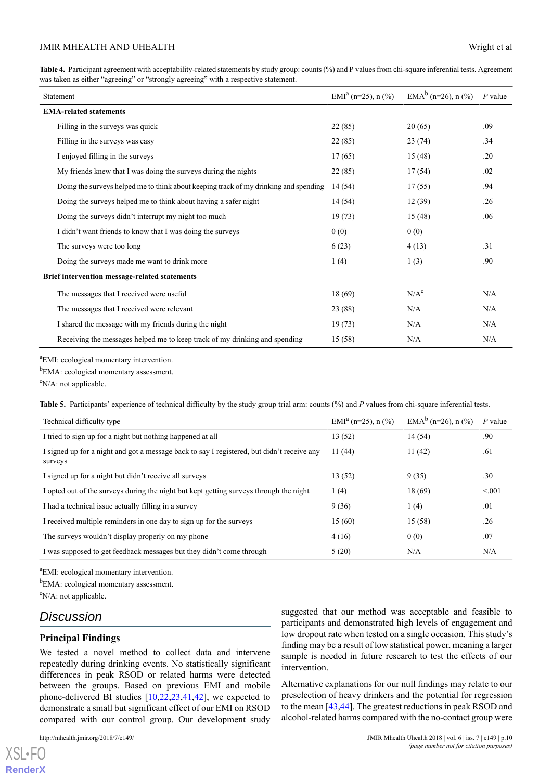<span id="page-9-0"></span>**Table 4.** Participant agreement with acceptability-related statements by study group: counts (%) and P values from chi-square inferential tests. Agreement was taken as either "agreeing" or "strongly agreeing" with a respective statement.

| Statement                                                                            | EMI <sup>a</sup> (n=25), n $\left(\frac{9}{6}\right)$ | EMA <sup>b</sup> (n=26), n $(\frac{6}{6})$ | $P$ value |
|--------------------------------------------------------------------------------------|-------------------------------------------------------|--------------------------------------------|-----------|
| <b>EMA-related statements</b>                                                        |                                                       |                                            |           |
| Filling in the surveys was quick                                                     | 22(85)                                                | 20(65)                                     | .09       |
| Filling in the surveys was easy                                                      | 22(85)                                                | 23(74)                                     | .34       |
| I enjoyed filling in the surveys                                                     | 17(65)                                                | 15(48)                                     | .20       |
| My friends knew that I was doing the surveys during the nights                       | 22(85)                                                | 17(54)                                     | .02       |
| Doing the surveys helped me to think about keeping track of my drinking and spending | 14 (54)                                               | 17(55)                                     | .94       |
| Doing the surveys helped me to think about having a safer night                      | 14(54)                                                | 12(39)                                     | .26       |
| Doing the surveys didn't interrupt my night too much                                 | 19(73)                                                | 15(48)                                     | .06       |
| I didn't want friends to know that I was doing the surveys                           | 0(0)                                                  | 0(0)                                       |           |
| The surveys were too long                                                            | 6(23)                                                 | 4(13)                                      | .31       |
| Doing the surveys made me want to drink more                                         | 1(4)                                                  | 1(3)                                       | .90       |
| Brief intervention message-related statements                                        |                                                       |                                            |           |
| The messages that I received were useful                                             | 18 (69)                                               | N/A <sup>c</sup>                           | N/A       |
| The messages that I received were relevant                                           | 23 (88)                                               | N/A                                        | N/A       |
| I shared the message with my friends during the night                                | 19(73)                                                | N/A                                        | N/A       |
| Receiving the messages helped me to keep track of my drinking and spending           | 15 (58)                                               | N/A                                        | N/A       |

<span id="page-9-1"></span><sup>a</sup>EMI: ecological momentary intervention.

<sup>b</sup>EMA: ecological momentary assessment.

<sup>c</sup>N/A: not applicable.

**Table 5.** Participants' experience of technical difficulty by the study group trial arm: counts (%) and *P* values from chi-square inferential tests.

| Technical difficulty type                                                                             | EMI <sup>a</sup> (n=25), n $(\frac{6}{6})$ | EMA <sup>b</sup> (n=26), n $(\frac{6}{6})$ | $P$ value |
|-------------------------------------------------------------------------------------------------------|--------------------------------------------|--------------------------------------------|-----------|
| I tried to sign up for a night but nothing happened at all                                            | 13 (52)                                    | 14(54)                                     | .90       |
| I signed up for a night and got a message back to say I registered, but didn't receive any<br>surveys | 11(44)                                     | 11(42)                                     | .61       |
| I signed up for a night but didn't receive all surveys                                                | 13(52)                                     | 9(35)                                      | .30       |
| I opted out of the surveys during the night but kept getting surveys through the night                | 1(4)                                       | 18 (69)                                    | < 0.01    |
| I had a technical issue actually filling in a survey                                                  | 9(36)                                      | 1(4)                                       | .01       |
| I received multiple reminders in one day to sign up for the surveys                                   | 15(60)                                     | 15 (58)                                    | .26       |
| The surveys wouldn't display properly on my phone                                                     | 4(16)                                      | 0(0)                                       | .07       |
| I was supposed to get feedback messages but they didn't come through                                  | 5(20)                                      | N/A                                        | N/A       |

<sup>a</sup>EMI: ecological momentary intervention.

b<sub>EMA:</sub> ecological momentary assessment.

 $\rm^c$ N/A: not applicable.

# *Discussion*

### **Principal Findings**

We tested a novel method to collect data and intervene repeatedly during drinking events. No statistically significant differences in peak RSOD or related harms were detected between the groups. Based on previous EMI and mobile phone-delivered BI studies [[10,](#page-11-9)[22](#page-12-3),[23,](#page-12-4)[41](#page-12-22),[42\]](#page-12-23), we expected to demonstrate a small but significant effect of our EMI on RSOD compared with our control group. Our development study

[XSL](http://www.w3.org/Style/XSL)•FO **[RenderX](http://www.renderx.com/)** suggested that our method was acceptable and feasible to participants and demonstrated high levels of engagement and low dropout rate when tested on a single occasion. This study's finding may be a result of low statistical power, meaning a larger sample is needed in future research to test the effects of our intervention.

Alternative explanations for our null findings may relate to our preselection of heavy drinkers and the potential for regression to the mean [\[43](#page-12-24)[,44](#page-13-0)]. The greatest reductions in peak RSOD and alcohol-related harms compared with the no-contact group were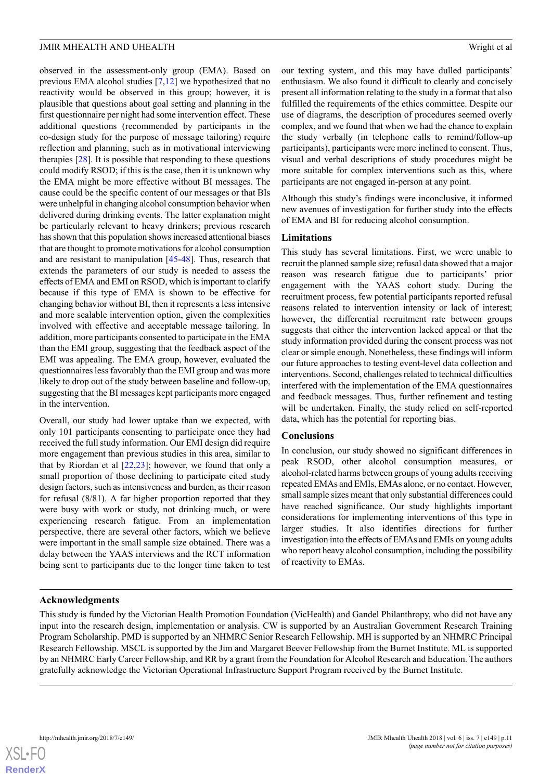observed in the assessment-only group (EMA). Based on previous EMA alcohol studies [\[7,](#page-11-6)[12](#page-11-11)] we hypothesized that no reactivity would be observed in this group; however, it is plausible that questions about goal setting and planning in the first questionnaire per night had some intervention effect. These additional questions (recommended by participants in the co-design study for the purpose of message tailoring) require reflection and planning, such as in motivational interviewing therapies [\[28](#page-12-9)]. It is possible that responding to these questions could modify RSOD; if this is the case, then it is unknown why the EMA might be more effective without BI messages. The cause could be the specific content of our messages or that BIs were unhelpful in changing alcohol consumption behavior when delivered during drinking events. The latter explanation might be particularly relevant to heavy drinkers; previous research has shown that this population shows increased attentional biases

that are thought to promote motivations for alcohol consumption and are resistant to manipulation [\[45](#page-13-1)-[48\]](#page-13-2). Thus, research that extends the parameters of our study is needed to assess the effects of EMA and EMI on RSOD, which is important to clarify because if this type of EMA is shown to be effective for changing behavior without BI, then it represents a less intensive and more scalable intervention option, given the complexities involved with effective and acceptable message tailoring. In addition, more participants consented to participate in the EMA than the EMI group, suggesting that the feedback aspect of the EMI was appealing. The EMA group, however, evaluated the questionnaires less favorably than the EMI group and was more likely to drop out of the study between baseline and follow-up, suggesting that the BI messages kept participants more engaged in the intervention.

Overall, our study had lower uptake than we expected, with only 101 participants consenting to participate once they had received the full study information. Our EMI design did require more engagement than previous studies in this area, similar to that by Riordan et al  $[22,23]$  $[22,23]$  $[22,23]$ ; however, we found that only a small proportion of those declining to participate cited study design factors, such as intensiveness and burden, as their reason for refusal (8/81). A far higher proportion reported that they were busy with work or study, not drinking much, or were experiencing research fatigue. From an implementation perspective, there are several other factors, which we believe were important in the small sample size obtained. There was a delay between the YAAS interviews and the RCT information being sent to participants due to the longer time taken to test

our texting system, and this may have dulled participants' enthusiasm. We also found it difficult to clearly and concisely present all information relating to the study in a format that also fulfilled the requirements of the ethics committee. Despite our use of diagrams, the description of procedures seemed overly complex, and we found that when we had the chance to explain the study verbally (in telephone calls to remind/follow-up participants), participants were more inclined to consent. Thus, visual and verbal descriptions of study procedures might be more suitable for complex interventions such as this, where participants are not engaged in-person at any point.

Although this study's findings were inconclusive, it informed new avenues of investigation for further study into the effects of EMA and BI for reducing alcohol consumption.

# **Limitations**

This study has several limitations. First, we were unable to recruit the planned sample size; refusal data showed that a major reason was research fatigue due to participants' prior engagement with the YAAS cohort study. During the recruitment process, few potential participants reported refusal reasons related to intervention intensity or lack of interest; however, the differential recruitment rate between groups suggests that either the intervention lacked appeal or that the study information provided during the consent process was not clear or simple enough. Nonetheless, these findings will inform our future approaches to testing event-level data collection and interventions. Second, challenges related to technical difficulties interfered with the implementation of the EMA questionnaires and feedback messages. Thus, further refinement and testing will be undertaken. Finally, the study relied on self-reported data, which has the potential for reporting bias.

# **Conclusions**

In conclusion, our study showed no significant differences in peak RSOD, other alcohol consumption measures, or alcohol-related harms between groups of young adults receiving repeated EMAs and EMIs, EMAs alone, or no contact. However, small sample sizes meant that only substantial differences could have reached significance. Our study highlights important considerations for implementing interventions of this type in larger studies. It also identifies directions for further investigation into the effects of EMAs and EMIs on young adults who report heavy alcohol consumption, including the possibility of reactivity to EMAs.

# **Acknowledgments**

This study is funded by the Victorian Health Promotion Foundation (VicHealth) and Gandel Philanthropy, who did not have any input into the research design, implementation or analysis. CW is supported by an Australian Government Research Training Program Scholarship. PMD is supported by an NHMRC Senior Research Fellowship. MH is supported by an NHMRC Principal Research Fellowship. MSCL is supported by the Jim and Margaret Beever Fellowship from the Burnet Institute. ML is supported by an NHMRC Early Career Fellowship, and RR by a grant from the Foundation for Alcohol Research and Education. The authors gratefully acknowledge the Victorian Operational Infrastructure Support Program received by the Burnet Institute.

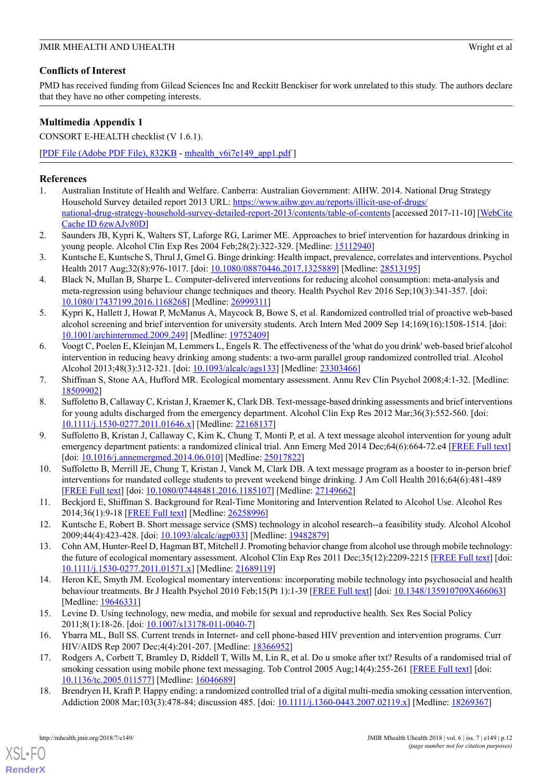# **Conflicts of Interest**

PMD has received funding from Gilead Sciences Inc and Reckitt Benckiser for work unrelated to this study. The authors declare that they have no other competing interests.

# **Multimedia Appendix 1**

CONSORT E-HEALTH checklist (V 1.6.1).

[[PDF File \(Adobe PDF File\), 832KB](https://mhealth.jmir.org/article/downloadSuppFile/9324/80235) - [mhealth\\_v6i7e149\\_app1.pdf](https://mhealth.jmir.org/article/downloadSuppFile/9324/80235) ]

# <span id="page-11-0"></span>**References**

- <span id="page-11-1"></span>1. Australian Institute of Health and Welfare. Canberra: Australian Government: AIHW. 2014. National Drug Strategy Household Survey detailed report 2013 URL: [https://www.aihw.gov.au/reports/illicit-use-of-drugs/](https://www.aihw.gov.au/reports/illicit-use-of-drugs/national-drug-strategy-household-survey-detailed-report-2013/contents/table-of-contents) [national-drug-strategy-household-survey-detailed-report-2013/contents/table-of-contents](https://www.aihw.gov.au/reports/illicit-use-of-drugs/national-drug-strategy-household-survey-detailed-report-2013/contents/table-of-contents) [accessed 2017-11-10] [\[WebCite](http://www.webcitation.org/6zwAJv80D) [Cache ID 6zwAJv80D](http://www.webcitation.org/6zwAJv80D)]
- <span id="page-11-2"></span>2. Saunders JB, Kypri K, Walters ST, Laforge RG, Larimer ME. Approaches to brief intervention for hazardous drinking in young people. Alcohol Clin Exp Res 2004 Feb;28(2):322-329. [Medline: [15112940\]](http://www.ncbi.nlm.nih.gov/entrez/query.fcgi?cmd=Retrieve&db=PubMed&list_uids=15112940&dopt=Abstract)
- <span id="page-11-3"></span>3. Kuntsche E, Kuntsche S, Thrul J, Gmel G. Binge drinking: Health impact, prevalence, correlates and interventions. Psychol Health 2017 Aug;32(8):976-1017. [doi: [10.1080/08870446.2017.1325889](http://dx.doi.org/10.1080/08870446.2017.1325889)] [Medline: [28513195](http://www.ncbi.nlm.nih.gov/entrez/query.fcgi?cmd=Retrieve&db=PubMed&list_uids=28513195&dopt=Abstract)]
- <span id="page-11-4"></span>4. Black N, Mullan B, Sharpe L. Computer-delivered interventions for reducing alcohol consumption: meta-analysis and meta-regression using behaviour change techniques and theory. Health Psychol Rev 2016 Sep;10(3):341-357. [doi: [10.1080/17437199.2016.1168268](http://dx.doi.org/10.1080/17437199.2016.1168268)] [Medline: [26999311\]](http://www.ncbi.nlm.nih.gov/entrez/query.fcgi?cmd=Retrieve&db=PubMed&list_uids=26999311&dopt=Abstract)
- <span id="page-11-5"></span>5. Kypri K, Hallett J, Howat P, McManus A, Maycock B, Bowe S, et al. Randomized controlled trial of proactive web-based alcohol screening and brief intervention for university students. Arch Intern Med 2009 Sep 14;169(16):1508-1514. [doi: [10.1001/archinternmed.2009.249\]](http://dx.doi.org/10.1001/archinternmed.2009.249) [Medline: [19752409](http://www.ncbi.nlm.nih.gov/entrez/query.fcgi?cmd=Retrieve&db=PubMed&list_uids=19752409&dopt=Abstract)]
- <span id="page-11-7"></span><span id="page-11-6"></span>6. Voogt C, Poelen E, Kleinjan M, Lemmers L, Engels R. The effectiveness of the 'what do you drink' web-based brief alcohol intervention in reducing heavy drinking among students: a two-arm parallel group randomized controlled trial. Alcohol Alcohol 2013;48(3):312-321. [doi: [10.1093/alcalc/ags133\]](http://dx.doi.org/10.1093/alcalc/ags133) [Medline: [23303466\]](http://www.ncbi.nlm.nih.gov/entrez/query.fcgi?cmd=Retrieve&db=PubMed&list_uids=23303466&dopt=Abstract)
- 7. Shiffman S, Stone AA, Hufford MR. Ecological momentary assessment. Annu Rev Clin Psychol 2008;4:1-32. [Medline: [18509902](http://www.ncbi.nlm.nih.gov/entrez/query.fcgi?cmd=Retrieve&db=PubMed&list_uids=18509902&dopt=Abstract)]
- <span id="page-11-8"></span>8. Suffoletto B, Callaway C, Kristan J, Kraemer K, Clark DB. Text-message-based drinking assessments and brief interventions for young adults discharged from the emergency department. Alcohol Clin Exp Res 2012 Mar;36(3):552-560. [doi: [10.1111/j.1530-0277.2011.01646.x](http://dx.doi.org/10.1111/j.1530-0277.2011.01646.x)] [Medline: [22168137](http://www.ncbi.nlm.nih.gov/entrez/query.fcgi?cmd=Retrieve&db=PubMed&list_uids=22168137&dopt=Abstract)]
- <span id="page-11-9"></span>9. Suffoletto B, Kristan J, Callaway C, Kim K, Chung T, Monti P, et al. A text message alcohol intervention for young adult emergency department patients: a randomized clinical trial. Ann Emerg Med 2014 Dec;64(6):664-72.e4 [\[FREE Full text\]](http://europepmc.org/abstract/MED/25017822) [doi: [10.1016/j.annemergmed.2014.06.010](http://dx.doi.org/10.1016/j.annemergmed.2014.06.010)] [Medline: [25017822](http://www.ncbi.nlm.nih.gov/entrez/query.fcgi?cmd=Retrieve&db=PubMed&list_uids=25017822&dopt=Abstract)]
- <span id="page-11-11"></span><span id="page-11-10"></span>10. Suffoletto B, Merrill JE, Chung T, Kristan J, Vanek M, Clark DB. A text message program as a booster to in-person brief interventions for mandated college students to prevent weekend binge drinking. J Am Coll Health 2016;64(6):481-489 [[FREE Full text](http://europepmc.org/abstract/MED/27149662)] [doi: [10.1080/07448481.2016.1185107](http://dx.doi.org/10.1080/07448481.2016.1185107)] [Medline: [27149662](http://www.ncbi.nlm.nih.gov/entrez/query.fcgi?cmd=Retrieve&db=PubMed&list_uids=27149662&dopt=Abstract)]
- <span id="page-11-12"></span>11. Beckjord E, Shiffman S. Background for Real-Time Monitoring and Intervention Related to Alcohol Use. Alcohol Res 2014;36(1):9-18 [[FREE Full text](http://europepmc.org/abstract/MED/26258996)] [Medline: [26258996](http://www.ncbi.nlm.nih.gov/entrez/query.fcgi?cmd=Retrieve&db=PubMed&list_uids=26258996&dopt=Abstract)]
- <span id="page-11-13"></span>12. Kuntsche E, Robert B. Short message service (SMS) technology in alcohol research--a feasibility study. Alcohol Alcohol 2009;44(4):423-428. [doi: [10.1093/alcalc/agp033](http://dx.doi.org/10.1093/alcalc/agp033)] [Medline: [19482879\]](http://www.ncbi.nlm.nih.gov/entrez/query.fcgi?cmd=Retrieve&db=PubMed&list_uids=19482879&dopt=Abstract)
- <span id="page-11-14"></span>13. Cohn AM, Hunter-Reel D, Hagman BT, Mitchell J. Promoting behavior change from alcohol use through mobile technology: the future of ecological momentary assessment. Alcohol Clin Exp Res 2011 Dec;35(12):2209-2215 [[FREE Full text](http://europepmc.org/abstract/MED/21689119)] [doi: [10.1111/j.1530-0277.2011.01571.x](http://dx.doi.org/10.1111/j.1530-0277.2011.01571.x)] [Medline: [21689119\]](http://www.ncbi.nlm.nih.gov/entrez/query.fcgi?cmd=Retrieve&db=PubMed&list_uids=21689119&dopt=Abstract)
- <span id="page-11-16"></span><span id="page-11-15"></span>14. Heron KE, Smyth JM. Ecological momentary interventions: incorporating mobile technology into psychosocial and health behaviour treatments. Br J Health Psychol 2010 Feb;15(Pt 1):1-39 [\[FREE Full text\]](http://europepmc.org/abstract/MED/19646331) [doi: [10.1348/135910709X466063\]](http://dx.doi.org/10.1348/135910709X466063) [Medline: [19646331](http://www.ncbi.nlm.nih.gov/entrez/query.fcgi?cmd=Retrieve&db=PubMed&list_uids=19646331&dopt=Abstract)]
- <span id="page-11-17"></span>15. Levine D. Using technology, new media, and mobile for sexual and reproductive health. Sex Res Social Policy 2011;8(1):18-26. [doi: [10.1007/s13178-011-0040-7\]](http://dx.doi.org/10.1007/s13178-011-0040-7)
- 16. Ybarra ML, Bull SS. Current trends in Internet- and cell phone-based HIV prevention and intervention programs. Curr HIV/AIDS Rep 2007 Dec;4(4):201-207. [Medline: [18366952](http://www.ncbi.nlm.nih.gov/entrez/query.fcgi?cmd=Retrieve&db=PubMed&list_uids=18366952&dopt=Abstract)]
- 17. Rodgers A, Corbett T, Bramley D, Riddell T, Wills M, Lin R, et al. Do u smoke after txt? Results of a randomised trial of smoking cessation using mobile phone text messaging. Tob Control 2005 Aug;14(4):255-261 [[FREE Full text](http://tobaccocontrol.bmj.com/cgi/pmidlookup?view=long&pmid=16046689)] [doi: [10.1136/tc.2005.011577](http://dx.doi.org/10.1136/tc.2005.011577)] [Medline: [16046689\]](http://www.ncbi.nlm.nih.gov/entrez/query.fcgi?cmd=Retrieve&db=PubMed&list_uids=16046689&dopt=Abstract)
- 18. Brendryen H, Kraft P. Happy ending: a randomized controlled trial of a digital multi-media smoking cessation intervention. Addiction 2008 Mar;103(3):478-84; discussion 485. [doi: [10.1111/j.1360-0443.2007.02119.x](http://dx.doi.org/10.1111/j.1360-0443.2007.02119.x)] [Medline: [18269367](http://www.ncbi.nlm.nih.gov/entrez/query.fcgi?cmd=Retrieve&db=PubMed&list_uids=18269367&dopt=Abstract)]

[XSL](http://www.w3.org/Style/XSL)•FO **[RenderX](http://www.renderx.com/)**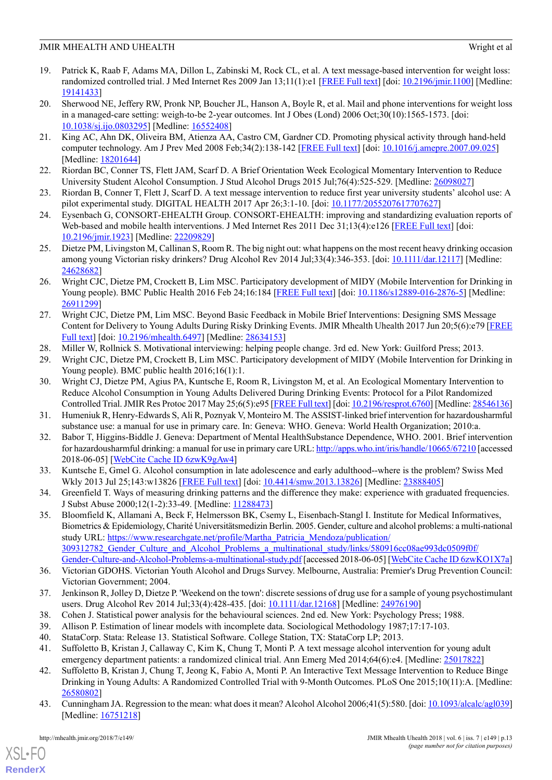- <span id="page-12-0"></span>19. Patrick K, Raab F, Adams MA, Dillon L, Zabinski M, Rock CL, et al. A text message-based intervention for weight loss: randomized controlled trial. J Med Internet Res 2009 Jan 13;11(1):e1 [\[FREE Full text](http://www.jmir.org/2009/1/e1/)] [doi: [10.2196/jmir.1100\]](http://dx.doi.org/10.2196/jmir.1100) [Medline: [19141433](http://www.ncbi.nlm.nih.gov/entrez/query.fcgi?cmd=Retrieve&db=PubMed&list_uids=19141433&dopt=Abstract)]
- <span id="page-12-1"></span>20. Sherwood NE, Jeffery RW, Pronk NP, Boucher JL, Hanson A, Boyle R, et al. Mail and phone interventions for weight loss in a managed-care setting: weigh-to-be 2-year outcomes. Int J Obes (Lond) 2006 Oct;30(10):1565-1573. [doi: [10.1038/sj.ijo.0803295\]](http://dx.doi.org/10.1038/sj.ijo.0803295) [Medline: [16552408\]](http://www.ncbi.nlm.nih.gov/entrez/query.fcgi?cmd=Retrieve&db=PubMed&list_uids=16552408&dopt=Abstract)
- <span id="page-12-2"></span>21. King AC, Ahn DK, Oliveira BM, Atienza AA, Castro CM, Gardner CD. Promoting physical activity through hand-held computer technology. Am J Prev Med 2008 Feb;34(2):138-142 [[FREE Full text](http://europepmc.org/abstract/MED/18201644)] [doi: [10.1016/j.amepre.2007.09.025\]](http://dx.doi.org/10.1016/j.amepre.2007.09.025) [Medline: [18201644](http://www.ncbi.nlm.nih.gov/entrez/query.fcgi?cmd=Retrieve&db=PubMed&list_uids=18201644&dopt=Abstract)]
- <span id="page-12-4"></span><span id="page-12-3"></span>22. Riordan BC, Conner TS, Flett JAM, Scarf D. A Brief Orientation Week Ecological Momentary Intervention to Reduce University Student Alcohol Consumption. J Stud Alcohol Drugs 2015 Jul;76(4):525-529. [Medline: [26098027](http://www.ncbi.nlm.nih.gov/entrez/query.fcgi?cmd=Retrieve&db=PubMed&list_uids=26098027&dopt=Abstract)]
- <span id="page-12-5"></span>23. Riordan B, Conner T, Flett J, Scarf D. A text message intervention to reduce first year university students' alcohol use: A pilot experimental study. DIGITAL HEALTH 2017 Apr 26;3:1-10. [doi: [10.1177/2055207617707627](http://dx.doi.org/10.1177/2055207617707627)]
- <span id="page-12-6"></span>24. Eysenbach G, CONSORT-EHEALTH Group. CONSORT-EHEALTH: improving and standardizing evaluation reports of Web-based and mobile health interventions. J Med Internet Res 2011 Dec 31;13(4):e126 [[FREE Full text](http://www.jmir.org/2011/4/e126/)] [doi: [10.2196/jmir.1923](http://dx.doi.org/10.2196/jmir.1923)] [Medline: [22209829](http://www.ncbi.nlm.nih.gov/entrez/query.fcgi?cmd=Retrieve&db=PubMed&list_uids=22209829&dopt=Abstract)]
- <span id="page-12-7"></span>25. Dietze PM, Livingston M, Callinan S, Room R. The big night out: what happens on the most recent heavy drinking occasion among young Victorian risky drinkers? Drug Alcohol Rev 2014 Jul;33(4):346-353. [doi: [10.1111/dar.12117](http://dx.doi.org/10.1111/dar.12117)] [Medline: [24628682](http://www.ncbi.nlm.nih.gov/entrez/query.fcgi?cmd=Retrieve&db=PubMed&list_uids=24628682&dopt=Abstract)]
- <span id="page-12-8"></span>26. Wright CJC, Dietze PM, Crockett B, Lim MSC. Participatory development of MIDY (Mobile Intervention for Drinking in Young people). BMC Public Health 2016 Feb 24;16:184 [\[FREE Full text\]](https://bmcpublichealth.biomedcentral.com/articles/10.1186/s12889-016-2876-5) [doi: [10.1186/s12889-016-2876-5\]](http://dx.doi.org/10.1186/s12889-016-2876-5) [Medline: [26911299](http://www.ncbi.nlm.nih.gov/entrez/query.fcgi?cmd=Retrieve&db=PubMed&list_uids=26911299&dopt=Abstract)]
- <span id="page-12-10"></span><span id="page-12-9"></span>27. Wright CJC, Dietze PM, Lim MSC. Beyond Basic Feedback in Mobile Brief Interventions: Designing SMS Message Content for Delivery to Young Adults During Risky Drinking Events. JMIR Mhealth Uhealth 2017 Jun 20;5(6):e79 [\[FREE](http://mhealth.jmir.org/2017/6/e79/) [Full text](http://mhealth.jmir.org/2017/6/e79/)] [doi: [10.2196/mhealth.6497](http://dx.doi.org/10.2196/mhealth.6497)] [Medline: [28634153\]](http://www.ncbi.nlm.nih.gov/entrez/query.fcgi?cmd=Retrieve&db=PubMed&list_uids=28634153&dopt=Abstract)
- <span id="page-12-11"></span>28. Miller W, Rollnick S. Motivational interviewing: helping people change. 3rd ed. New York: Guilford Press; 2013.
- 29. Wright CJC, Dietze PM, Crockett B, Lim MSC. Participatory development of MIDY (Mobile Intervention for Drinking in Young people). BMC public health  $2016;16(1):1$ .
- <span id="page-12-13"></span><span id="page-12-12"></span>30. Wright CJ, Dietze PM, Agius PA, Kuntsche E, Room R, Livingston M, et al. An Ecological Momentary Intervention to Reduce Alcohol Consumption in Young Adults Delivered During Drinking Events: Protocol for a Pilot Randomized Controlled Trial. JMIR Res Protoc 2017 May 25;6(5):e95 [\[FREE Full text\]](http://www.researchprotocols.org/2017/5/e95/) [doi: [10.2196/resprot.6760\]](http://dx.doi.org/10.2196/resprot.6760) [Medline: [28546136](http://www.ncbi.nlm.nih.gov/entrez/query.fcgi?cmd=Retrieve&db=PubMed&list_uids=28546136&dopt=Abstract)]
- <span id="page-12-14"></span>31. Humeniuk R, Henry-Edwards S, Ali R, Poznyak V, Monteiro M. The ASSIST-linked brief intervention for hazardousharmful substance use: a manual for use in primary care. In: Geneva: WHO. Geneva: World Health Organization; 2010:a.
- <span id="page-12-15"></span>32. Babor T, Higgins-Biddle J. Geneva: Department of Mental HealthSubstance Dependence, WHO. 2001. Brief intervention for hazardousharmful drinking: a manual for use in primary care URL:<http://apps.who.int/iris/handle/10665/67210> [accessed 2018-06-05] [\[WebCite Cache ID 6zwK9gAw4](http://www.webcitation.org/6zwK9gAw4)]
- <span id="page-12-16"></span>33. Kuntsche E, Gmel G. Alcohol consumption in late adolescence and early adulthood--where is the problem? Swiss Med Wkly 2013 Jul 25;143:w13826 [\[FREE Full text\]](http://doi.emh.ch/10.4414/smw.2013.13826) [doi: [10.4414/smw.2013.13826\]](http://dx.doi.org/10.4414/smw.2013.13826) [Medline: [23888405](http://www.ncbi.nlm.nih.gov/entrez/query.fcgi?cmd=Retrieve&db=PubMed&list_uids=23888405&dopt=Abstract)]
- 34. Greenfield T. Ways of measuring drinking patterns and the difference they make: experience with graduated frequencies. J Subst Abuse 2000;12(1-2):33-49. [Medline: [11288473](http://www.ncbi.nlm.nih.gov/entrez/query.fcgi?cmd=Retrieve&db=PubMed&list_uids=11288473&dopt=Abstract)]
- <span id="page-12-18"></span><span id="page-12-17"></span>35. Bloomfield K, Allamani A, Beck F, Helmersson BK, Csemy L, Eisenbach-Stangl I. Institute for Medical Informatives, Biometrics & Epidemiology, Charité Universitätsmedizin Berlin. 2005. Gender, culture and alcohol problems: a multi-national study URL: [https://www.researchgate.net/profile/Martha\\_Patricia\\_Mendoza/publication/](https://www.researchgate.net/profile/Martha_Patricia_Mendoza/publication/309312782_Gender_Culture_and_Alcohol_Problems_a_multinational_study/links/580916cc08ae993dc0509f0f/Gender-Culture-and-Alcohol-Problems-a-multinational-study.pdf) [309312782\\_Gender\\_Culture\\_and\\_Alcohol\\_Problems\\_a\\_multinational\\_study/links/580916cc08ae993dc0509f0f/](https://www.researchgate.net/profile/Martha_Patricia_Mendoza/publication/309312782_Gender_Culture_and_Alcohol_Problems_a_multinational_study/links/580916cc08ae993dc0509f0f/Gender-Culture-and-Alcohol-Problems-a-multinational-study.pdf) [Gender-Culture-and-Alcohol-Problems-a-multinational-study.pdf](https://www.researchgate.net/profile/Martha_Patricia_Mendoza/publication/309312782_Gender_Culture_and_Alcohol_Problems_a_multinational_study/links/580916cc08ae993dc0509f0f/Gender-Culture-and-Alcohol-Problems-a-multinational-study.pdf) [accessed 2018-06-05] [[WebCite Cache ID 6zwKO1X7a](http://www.webcitation.org/6zwKO1X7a)]
- <span id="page-12-21"></span><span id="page-12-20"></span><span id="page-12-19"></span>36. Victorian GDOHS. Victorian Youth Alcohol and Drugs Survey. Melbourne, Australia: Premier's Drug Prevention Council: Victorian Government; 2004.
- <span id="page-12-22"></span>37. Jenkinson R, Jolley D, Dietze P. 'Weekend on the town': discrete sessions of drug use for a sample of young psychostimulant users. Drug Alcohol Rev 2014 Jul;33(4):428-435. [doi: [10.1111/dar.12168](http://dx.doi.org/10.1111/dar.12168)] [Medline: [24976190](http://www.ncbi.nlm.nih.gov/entrez/query.fcgi?cmd=Retrieve&db=PubMed&list_uids=24976190&dopt=Abstract)]
- <span id="page-12-23"></span>38. Cohen J. Statistical power analysis for the behavioural sciences. 2nd ed. New York: Psychology Press; 1988.
- 39. Allison P. Estimation of linear models with incomplete data. Sociological Methodology 1987;17:17-103.
- <span id="page-12-24"></span>40. StataCorp. Stata: Release 13. Statistical Software. College Station, TX: StataCorp LP; 2013.
- 41. Suffoletto B, Kristan J, Callaway C, Kim K, Chung T, Monti P. A text message alcohol intervention for young adult emergency department patients: a randomized clinical trial. Ann Emerg Med 2014;64(6):e4. [Medline: [25017822\]](http://www.ncbi.nlm.nih.gov/entrez/query.fcgi?cmd=Retrieve&db=PubMed&list_uids=25017822&dopt=Abstract)
- 42. Suffoletto B, Kristan J, Chung T, Jeong K, Fabio A, Monti P. An Interactive Text Message Intervention to Reduce Binge Drinking in Young Adults: A Randomized Controlled Trial with 9-Month Outcomes. PLoS One 2015;10(11):A. [Medline: [26580802](http://www.ncbi.nlm.nih.gov/entrez/query.fcgi?cmd=Retrieve&db=PubMed&list_uids=26580802&dopt=Abstract)]
- 43. Cunningham JA. Regression to the mean: what does it mean? Alcohol Alcohol 2006;41(5):580. [doi: [10.1093/alcalc/agl039\]](http://dx.doi.org/10.1093/alcalc/agl039) [Medline: [16751218](http://www.ncbi.nlm.nih.gov/entrez/query.fcgi?cmd=Retrieve&db=PubMed&list_uids=16751218&dopt=Abstract)]

[XSL](http://www.w3.org/Style/XSL)•FO **[RenderX](http://www.renderx.com/)**